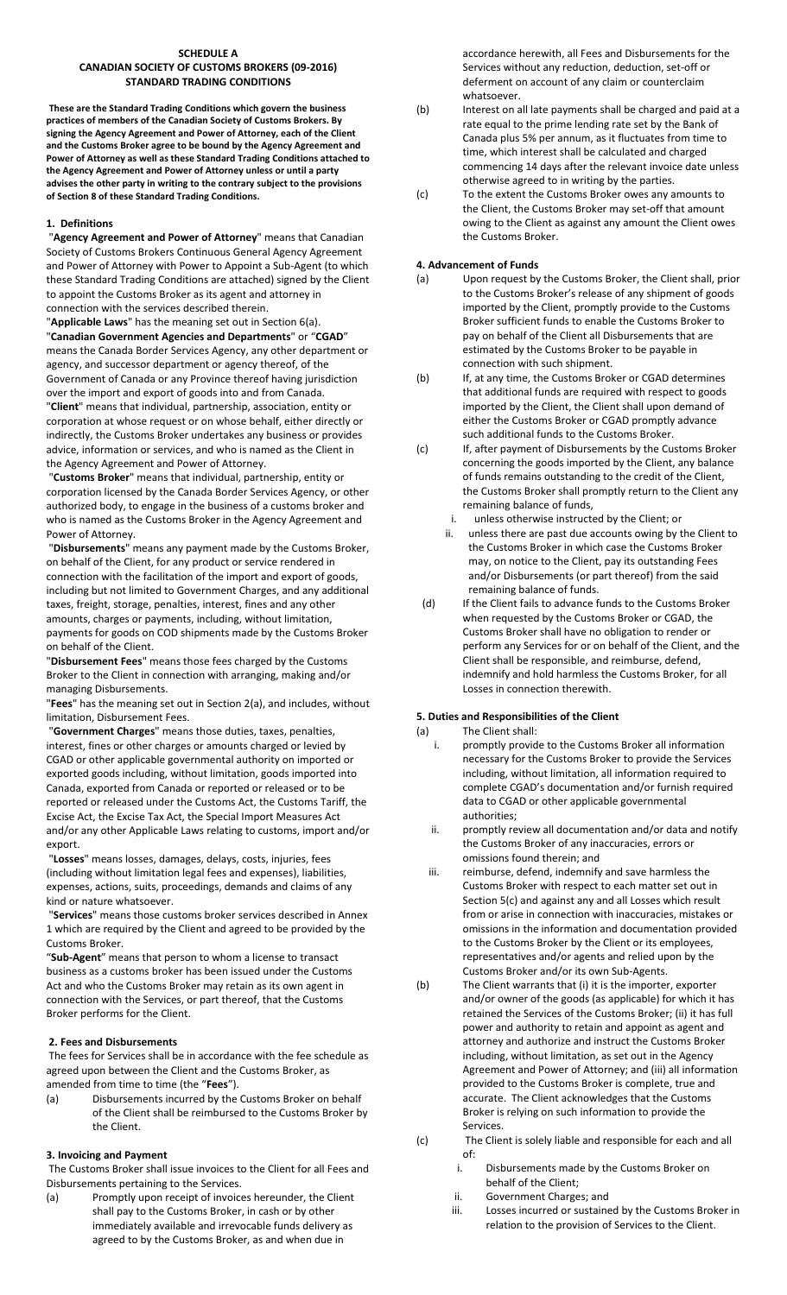#### **SCHEDULE A CANADIAN SOCIETY OF CUSTOMS BROKERS (09‐2016) STANDARD TRADING CONDITIONS**

**These are the Standard Trading Conditions which govern the business practices of members of the Canadian Society of Customs Brokers. By signing the Agency Agreement and Power of Attorney, each of the Client and the Customs Broker agree to be bound by the Agency Agreement and Power of Attorney as well as these Standard Trading Conditions attached to the Agency Agreement and Power of Attorney unless or until a party advises the other party in writing to the contrary subject to the provisions of Section 8 of these Standard Trading Conditions.** 

# **1. Definitions**

 "**Agency Agreement and Power of Attorney**" means that Canadian Society of Customs Brokers Continuous General Agency Agreement and Power of Attorney with Power to Appoint a Sub‐Agent (to which these Standard Trading Conditions are attached) signed by the Client to appoint the Customs Broker as its agent and attorney in connection with the services described therein.

"**Applicable Laws**" has the meaning set out in Section 6(a). "**Canadian Government Agencies and Departments**" or "**CGAD**" means the Canada Border Services Agency, any other department or agency, and successor department or agency thereof, of the Government of Canada or any Province thereof having jurisdiction over the import and export of goods into and from Canada. "**Client**" means that individual, partnership, association, entity or corporation at whose request or on whose behalf, either directly or indirectly, the Customs Broker undertakes any business or provides

advice, information or services, and who is named as the Client in the Agency Agreement and Power of Attorney. "**Customs Broker**" means that individual, partnership, entity or corporation licensed by the Canada Border Services Agency, or other

authorized body, to engage in the business of a customs broker and who is named as the Customs Broker in the Agency Agreement and Power of Attorney.

 "**Disbursements**" means any payment made by the Customs Broker, on behalf of the Client, for any product or service rendered in connection with the facilitation of the import and export of goods, including but not limited to Government Charges, and any additional taxes, freight, storage, penalties, interest, fines and any other amounts, charges or payments, including, without limitation, payments for goods on COD shipments made by the Customs Broker on behalf of the Client.

"**Disbursement Fees**" means those fees charged by the Customs Broker to the Client in connection with arranging, making and/or managing Disbursements.

"**Fees**" has the meaning set out in Section 2(a), and includes, without limitation, Disbursement Fees.

 "**Government Charges**" means those duties, taxes, penalties, interest, fines or other charges or amounts charged or levied by CGAD or other applicable governmental authority on imported or exported goods including, without limitation, goods imported into Canada, exported from Canada or reported or released or to be reported or released under the Customs Act, the Customs Tariff, the Excise Act, the Excise Tax Act, the Special Import Measures Act and/or any other Applicable Laws relating to customs, import and/or export.

 "**Losses**" means losses, damages, delays, costs, injuries, fees (including without limitation legal fees and expenses), liabilities, expenses, actions, suits, proceedings, demands and claims of any kind or nature whatsoever.

 "**Services**" means those customs broker services described in Annex 1 which are required by the Client and agreed to be provided by the Customs Broker.

"**Sub‐Agent**" means that person to whom a license to transact business as a customs broker has been issued under the Customs Act and who the Customs Broker may retain as its own agent in connection with the Services, or part thereof, that the Customs Broker performs for the Client.

## **2. Fees and Disbursements**

 The fees for Services shall be in accordance with the fee schedule as agreed upon between the Client and the Customs Broker, as amended from time to time (the "**Fees**").

(a) Disbursements incurred by the Customs Broker on behalf of the Client shall be reimbursed to the Customs Broker by the Client.

## **3. Invoicing and Payment**

 The Customs Broker shall issue invoices to the Client for all Fees and Disbursements pertaining to the Services.

(a) Promptly upon receipt of invoices hereunder, the Client shall pay to the Customs Broker, in cash or by other immediately available and irrevocable funds delivery as agreed to by the Customs Broker, as and when due in

accordance herewith, all Fees and Disbursements for the Services without any reduction, deduction, set‐off or deferment on account of any claim or counterclaim whatsoever.

- (b) Interest on all late payments shall be charged and paid at a rate equal to the prime lending rate set by the Bank of Canada plus 5% per annum, as it fluctuates from time to time, which interest shall be calculated and charged commencing 14 days after the relevant invoice date unless otherwise agreed to in writing by the parties.
- (c) To the extent the Customs Broker owes any amounts to the Client, the Customs Broker may set‐off that amount owing to the Client as against any amount the Client owes the Customs Broker.

# **4. Advancement of Funds**

- (a) Upon request by the Customs Broker, the Client shall, prior to the Customs Broker's release of any shipment of goods imported by the Client, promptly provide to the Customs Broker sufficient funds to enable the Customs Broker to pay on behalf of the Client all Disbursements that are estimated by the Customs Broker to be payable in connection with such shipment.
- (b) If, at any time, the Customs Broker or CGAD determines that additional funds are required with respect to goods imported by the Client, the Client shall upon demand of either the Customs Broker or CGAD promptly advance such additional funds to the Customs Broker.
- (c) If, after payment of Disbursements by the Customs Broker concerning the goods imported by the Client, any balance of funds remains outstanding to the credit of the Client, the Customs Broker shall promptly return to the Client any remaining balance of funds,
	- i. unless otherwise instructed by the Client; or
	- ii. unless there are past due accounts owing by the Client to the Customs Broker in which case the Customs Broker may, on notice to the Client, pay its outstanding Fees and/or Disbursements (or part thereof) from the said remaining balance of funds.
- (d) If the Client fails to advance funds to the Customs Broker when requested by the Customs Broker or CGAD, the Customs Broker shall have no obligation to render or perform any Services for or on behalf of the Client, and the Client shall be responsible, and reimburse, defend, indemnify and hold harmless the Customs Broker, for all Losses in connection therewith.

# **5. Duties and Responsibilities of the Client**

(a) The Client shall:<br>i. promptly provided

- promptly provide to the Customs Broker all information necessary for the Customs Broker to provide the Services including, without limitation, all information required to complete CGAD's documentation and/or furnish required data to CGAD or other applicable governmental authorities;
- ii. promptly review all documentation and/or data and notify the Customs Broker of any inaccuracies, errors or omissions found therein; and
- iii. reimburse, defend, indemnify and save harmless the Customs Broker with respect to each matter set out in Section 5(c) and against any and all Losses which result from or arise in connection with inaccuracies, mistakes or omissions in the information and documentation provided to the Customs Broker by the Client or its employees, representatives and/or agents and relied upon by the Customs Broker and/or its own Sub‐Agents.
- (b) The Client warrants that (i) it is the importer, exporter and/or owner of the goods (as applicable) for which it has retained the Services of the Customs Broker; (ii) it has full power and authority to retain and appoint as agent and attorney and authorize and instruct the Customs Broker including, without limitation, as set out in the Agency Agreement and Power of Attorney; and (iii) all information provided to the Customs Broker is complete, true and accurate. The Client acknowledges that the Customs Broker is relying on such information to provide the Services.
- (c) The Client is solely liable and responsible for each and all of:
	- i. Disbursements made by the Customs Broker on behalf of the Client;
	- ii. Government Charges; and
	- iii. Losses incurred or sustained by the Customs Broker in relation to the provision of Services to the Client.